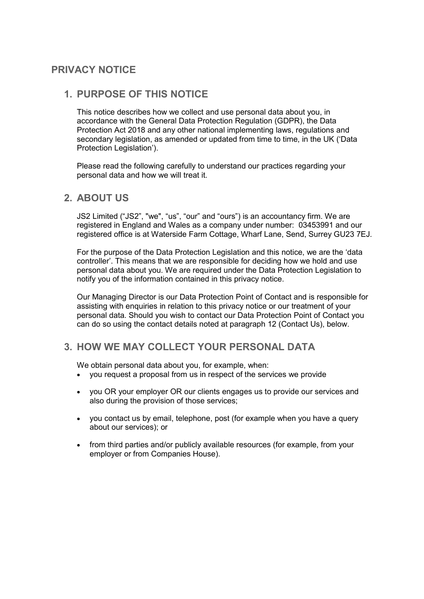# **PRIVACY NOTICE**

### **1. PURPOSE OF THIS NOTICE**

This notice describes how we collect and use personal data about you, in accordance with the General Data Protection Regulation (GDPR), the Data Protection Act 2018 and any other national implementing laws, regulations and secondary legislation, as amended or updated from time to time, in the UK ('Data Protection Legislation').

Please read the following carefully to understand our practices regarding your personal data and how we will treat it.

### **2. ABOUT US**

JS2 Limited ("JS2", "we", "us", "our" and "ours") is an accountancy firm. We are registered in England and Wales as a company under number: 03453991 and our registered office is at Waterside Farm Cottage, Wharf Lane, Send, Surrey GU23 7EJ.

For the purpose of the Data Protection Legislation and this notice, we are the 'data controller'. This means that we are responsible for deciding how we hold and use personal data about you. We are required under the Data Protection Legislation to notify you of the information contained in this privacy notice.

Our Managing Director is our Data Protection Point of Contact and is responsible for assisting with enquiries in relation to this privacy notice or our treatment of your personal data. Should you wish to contact our Data Protection Point of Contact you can do so using the contact details noted at paragraph 12 (Contact Us), below.

## **3. HOW WE MAY COLLECT YOUR PERSONAL DATA**

We obtain personal data about you, for example, when:

- you request a proposal from us in respect of the services we provide
- you OR your employer OR our clients engages us to provide our services and also during the provision of those services;
- vou contact us by email, telephone, post (for example when you have a query about our services); or
- from third parties and/or publicly available resources (for example, from your employer or from Companies House).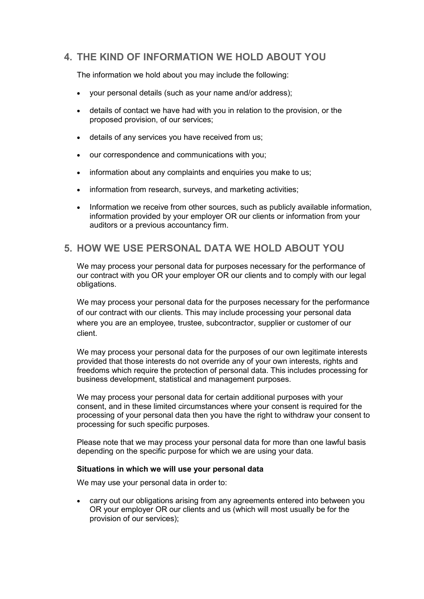# **4. THE KIND OF INFORMATION WE HOLD ABOUT YOU**

The information we hold about you may include the following:

- your personal details (such as your name and/or address);
- details of contact we have had with you in relation to the provision, or the proposed provision, of our services;
- details of any services you have received from us;
- our correspondence and communications with you;
- information about any complaints and enquiries you make to us;
- information from research, surveys, and marketing activities;
- Information we receive from other sources, such as publicly available information, information provided by your employer OR our clients or information from your auditors or a previous accountancy firm.

## **5. HOW WE USE PERSONAL DATA WE HOLD ABOUT YOU**

We may process your personal data for purposes necessary for the performance of our contract with you OR your employer OR our clients and to comply with our legal obligations.

We may process your personal data for the purposes necessary for the performance of our contract with our clients. This may include processing your personal data where you are an employee, trustee, subcontractor, supplier or customer of our client.

We may process your personal data for the purposes of our own legitimate interests provided that those interests do not override any of your own interests, rights and freedoms which require the protection of personal data. This includes processing for business development, statistical and management purposes.

We may process your personal data for certain additional purposes with your consent, and in these limited circumstances where your consent is required for the processing of your personal data then you have the right to withdraw your consent to processing for such specific purposes.

Please note that we may process your personal data for more than one lawful basis depending on the specific purpose for which we are using your data.

#### **Situations in which we will use your personal data**

We may use your personal data in order to:

 carry out our obligations arising from any agreements entered into between you OR your employer OR our clients and us (which will most usually be for the provision of our services);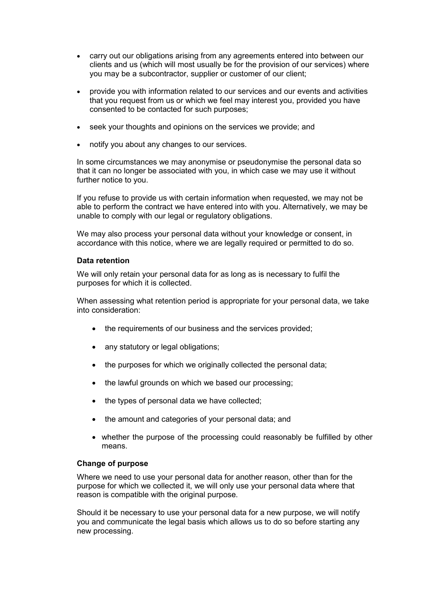- carry out our obligations arising from any agreements entered into between our clients and us (which will most usually be for the provision of our services) where you may be a subcontractor, supplier or customer of our client;
- provide you with information related to our services and our events and activities that you request from us or which we feel may interest you, provided you have consented to be contacted for such purposes;
- seek your thoughts and opinions on the services we provide; and
- notify you about any changes to our services.

In some circumstances we may anonymise or pseudonymise the personal data so that it can no longer be associated with you, in which case we may use it without further notice to you.

If you refuse to provide us with certain information when requested, we may not be able to perform the contract we have entered into with you. Alternatively, we may be unable to comply with our legal or regulatory obligations.

We may also process your personal data without your knowledge or consent, in accordance with this notice, where we are legally required or permitted to do so.

#### **Data retention**

We will only retain your personal data for as long as is necessary to fulfil the purposes for which it is collected.

When assessing what retention period is appropriate for your personal data, we take into consideration:

- the requirements of our business and the services provided;
- any statutory or legal obligations;
- the purposes for which we originally collected the personal data;
- the lawful grounds on which we based our processing;
- the types of personal data we have collected;
- the amount and categories of your personal data; and
- whether the purpose of the processing could reasonably be fulfilled by other means.

#### **Change of purpose**

Where we need to use your personal data for another reason, other than for the purpose for which we collected it, we will only use your personal data where that reason is compatible with the original purpose.

Should it be necessary to use your personal data for a new purpose, we will notify you and communicate the legal basis which allows us to do so before starting any new processing.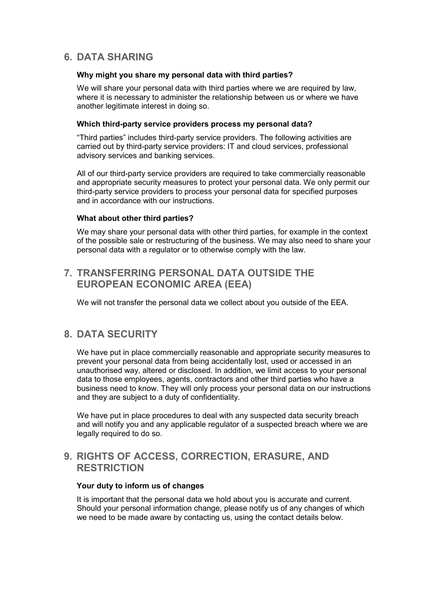# **6. DATA SHARING**

#### **Why might you share my personal data with third parties?**

We will share your personal data with third parties where we are required by law, where it is necessary to administer the relationship between us or where we have another legitimate interest in doing so.

#### **Which third-party service providers process my personal data?**

"Third parties" includes third-party service providers. The following activities are carried out by third-party service providers: IT and cloud services, professional advisory services and banking services.

All of our third-party service providers are required to take commercially reasonable and appropriate security measures to protect your personal data. We only permit our third-party service providers to process your personal data for specified purposes and in accordance with our instructions.

#### **What about other third parties?**

We may share your personal data with other third parties, for example in the context of the possible sale or restructuring of the business. We may also need to share your personal data with a regulator or to otherwise comply with the law.

## **7. TRANSFERRING PERSONAL DATA OUTSIDE THE EUROPEAN ECONOMIC AREA (EEA)**

We will not transfer the personal data we collect about you outside of the EEA.

## **8. DATA SECURITY**

We have put in place commercially reasonable and appropriate security measures to prevent your personal data from being accidentally lost, used or accessed in an unauthorised way, altered or disclosed. In addition, we limit access to your personal data to those employees, agents, contractors and other third parties who have a business need to know. They will only process your personal data on our instructions and they are subject to a duty of confidentiality.

We have put in place procedures to deal with any suspected data security breach and will notify you and any applicable regulator of a suspected breach where we are legally required to do so.

### **9. RIGHTS OF ACCESS, CORRECTION, ERASURE, AND RESTRICTION**

#### **Your duty to inform us of changes**

It is important that the personal data we hold about you is accurate and current. Should your personal information change, please notify us of any changes of which we need to be made aware by contacting us, using the contact details below.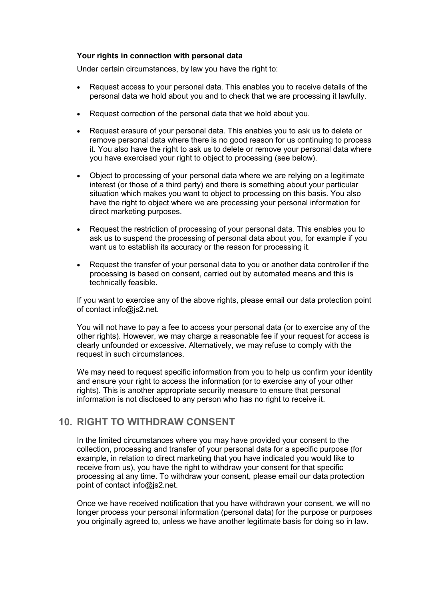#### **Your rights in connection with personal data**

Under certain circumstances, by law you have the right to:

- Request access to your personal data. This enables you to receive details of the personal data we hold about you and to check that we are processing it lawfully.
- Request correction of the personal data that we hold about you.
- Request erasure of your personal data. This enables you to ask us to delete or remove personal data where there is no good reason for us continuing to process it. You also have the right to ask us to delete or remove your personal data where you have exercised your right to object to processing (see below).
- Object to processing of your personal data where we are relying on a legitimate interest (or those of a third party) and there is something about your particular situation which makes you want to object to processing on this basis. You also have the right to object where we are processing your personal information for direct marketing purposes.
- Request the restriction of processing of your personal data. This enables you to ask us to suspend the processing of personal data about you, for example if you want us to establish its accuracy or the reason for processing it.
- Request the transfer of your personal data to you or another data controller if the processing is based on consent, carried out by automated means and this is technically feasible.

If you want to exercise any of the above rights, please email our data protection point of contact info@js2.net.

You will not have to pay a fee to access your personal data (or to exercise any of the other rights). However, we may charge a reasonable fee if your request for access is clearly unfounded or excessive. Alternatively, we may refuse to comply with the request in such circumstances.

We may need to request specific information from you to help us confirm your identity and ensure your right to access the information (or to exercise any of your other rights). This is another appropriate security measure to ensure that personal information is not disclosed to any person who has no right to receive it.

### **10. RIGHT TO WITHDRAW CONSENT**

In the limited circumstances where you may have provided your consent to the collection, processing and transfer of your personal data for a specific purpose (for example, in relation to direct marketing that you have indicated you would like to receive from us), you have the right to withdraw your consent for that specific processing at any time. To withdraw your consent, please email our data protection point of contact info@js2.net.

Once we have received notification that you have withdrawn your consent, we will no longer process your personal information (personal data) for the purpose or purposes you originally agreed to, unless we have another legitimate basis for doing so in law.